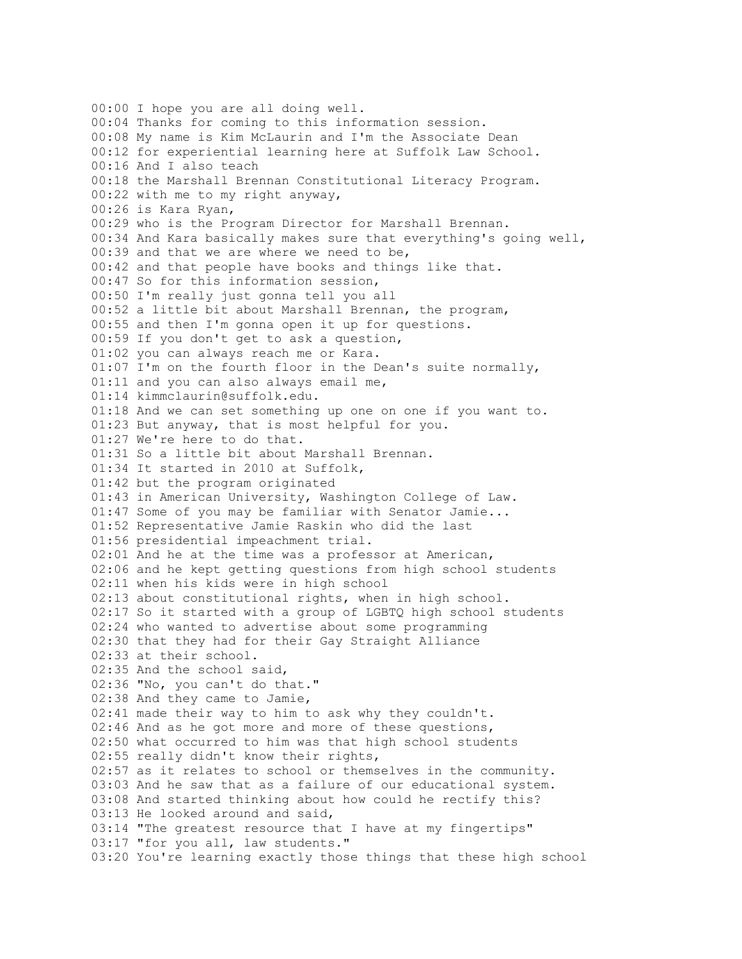00:00 I hope you are all doing well. 00:04 Thanks for coming to this information session. 00:08 My name is Kim McLaurin and I'm the Associate Dean 00:12 for experiential learning here at Suffolk Law School. 00:16 And I also teach 00:18 the Marshall Brennan Constitutional Literacy Program. 00:22 with me to my right anyway, 00:26 is Kara Ryan, 00:29 who is the Program Director for Marshall Brennan. 00:34 And Kara basically makes sure that everything's going well, 00:39 and that we are where we need to be, 00:42 and that people have books and things like that. 00:47 So for this information session, 00:50 I'm really just gonna tell you all 00:52 a little bit about Marshall Brennan, the program, 00:55 and then I'm gonna open it up for questions. 00:59 If you don't get to ask a question, 01:02 you can always reach me or Kara. 01:07 I'm on the fourth floor in the Dean's suite normally, 01:11 and you can also always email me, 01:14 kimmclaurin@suffolk.edu. 01:18 And we can set something up one on one if you want to. 01:23 But anyway, that is most helpful for you. 01:27 We're here to do that. 01:31 So a little bit about Marshall Brennan. 01:34 It started in 2010 at Suffolk, 01:42 but the program originated 01:43 in American University, Washington College of Law. 01:47 Some of you may be familiar with Senator Jamie... 01:52 Representative Jamie Raskin who did the last 01:56 presidential impeachment trial. 02:01 And he at the time was a professor at American, 02:06 and he kept getting questions from high school students 02:11 when his kids were in high school 02:13 about constitutional rights, when in high school. 02:17 So it started with a group of LGBTQ high school students 02:24 who wanted to advertise about some programming 02:30 that they had for their Gay Straight Alliance 02:33 at their school. 02:35 And the school said, 02:36 "No, you can't do that." 02:38 And they came to Jamie, 02:41 made their way to him to ask why they couldn't. 02:46 And as he got more and more of these questions, 02:50 what occurred to him was that high school students 02:55 really didn't know their rights, 02:57 as it relates to school or themselves in the community. 03:03 And he saw that as a failure of our educational system. 03:08 And started thinking about how could he rectify this? 03:13 He looked around and said, 03:14 "The greatest resource that I have at my fingertips" 03:17 "for you all, law students." 03:20 You're learning exactly those things that these high school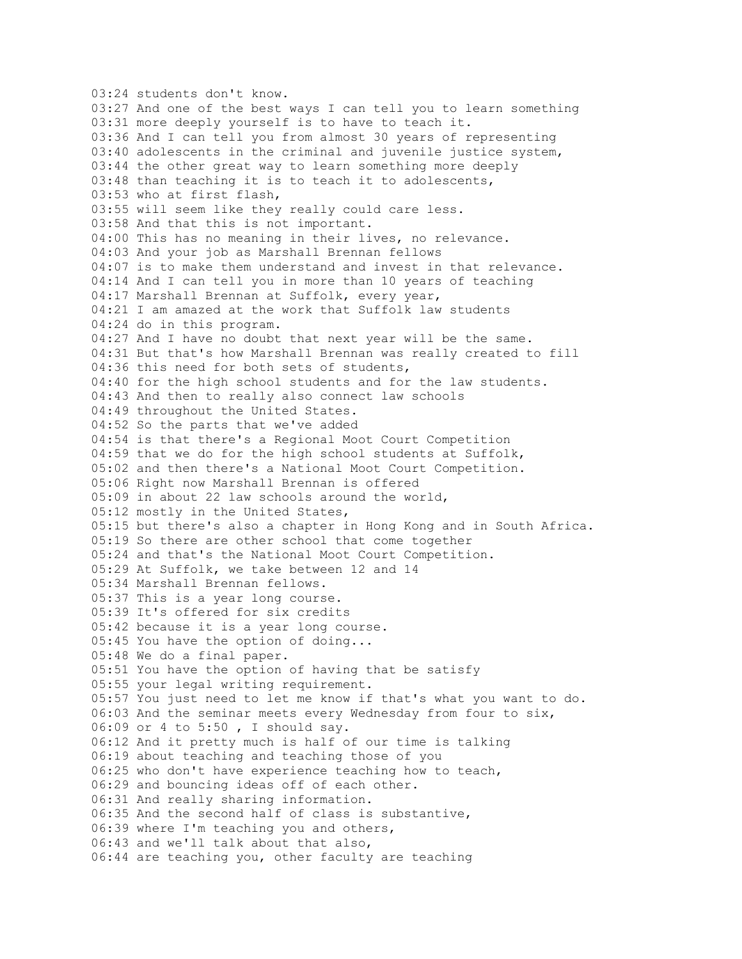03:24 students don't know. 03:27 And one of the best ways I can tell you to learn something 03:31 more deeply yourself is to have to teach it. 03:36 And I can tell you from almost 30 years of representing 03:40 adolescents in the criminal and juvenile justice system, 03:44 the other great way to learn something more deeply 03:48 than teaching it is to teach it to adolescents, 03:53 who at first flash, 03:55 will seem like they really could care less. 03:58 And that this is not important. 04:00 This has no meaning in their lives, no relevance. 04:03 And your job as Marshall Brennan fellows 04:07 is to make them understand and invest in that relevance. 04:14 And I can tell you in more than 10 years of teaching 04:17 Marshall Brennan at Suffolk, every year, 04:21 I am amazed at the work that Suffolk law students 04:24 do in this program. 04:27 And I have no doubt that next year will be the same. 04:31 But that's how Marshall Brennan was really created to fill 04:36 this need for both sets of students, 04:40 for the high school students and for the law students. 04:43 And then to really also connect law schools 04:49 throughout the United States. 04:52 So the parts that we've added 04:54 is that there's a Regional Moot Court Competition 04:59 that we do for the high school students at Suffolk, 05:02 and then there's a National Moot Court Competition. 05:06 Right now Marshall Brennan is offered 05:09 in about 22 law schools around the world, 05:12 mostly in the United States, 05:15 but there's also a chapter in Hong Kong and in South Africa. 05:19 So there are other school that come together 05:24 and that's the National Moot Court Competition. 05:29 At Suffolk, we take between 12 and 14 05:34 Marshall Brennan fellows. 05:37 This is a year long course. 05:39 It's offered for six credits 05:42 because it is a year long course. 05:45 You have the option of doing... 05:48 We do a final paper. 05:51 You have the option of having that be satisfy 05:55 your legal writing requirement. 05:57 You just need to let me know if that's what you want to do. 06:03 And the seminar meets every Wednesday from four to six, 06:09 or 4 to 5:50 , I should say. 06:12 And it pretty much is half of our time is talking 06:19 about teaching and teaching those of you 06:25 who don't have experience teaching how to teach, 06:29 and bouncing ideas off of each other. 06:31 And really sharing information. 06:35 And the second half of class is substantive, 06:39 where I'm teaching you and others, 06:43 and we'll talk about that also, 06:44 are teaching you, other faculty are teaching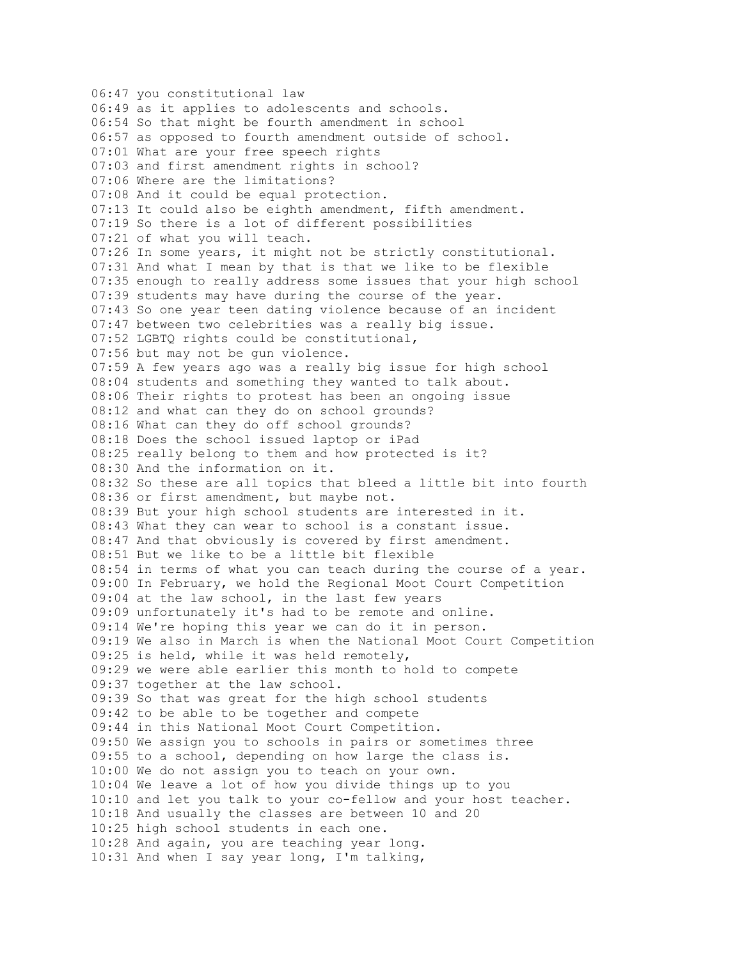06:47 you constitutional law 06:49 as it applies to adolescents and schools. 06:54 So that might be fourth amendment in school 06:57 as opposed to fourth amendment outside of school. 07:01 What are your free speech rights 07:03 and first amendment rights in school? 07:06 Where are the limitations? 07:08 And it could be equal protection. 07:13 It could also be eighth amendment, fifth amendment. 07:19 So there is a lot of different possibilities 07:21 of what you will teach. 07:26 In some years, it might not be strictly constitutional. 07:31 And what I mean by that is that we like to be flexible 07:35 enough to really address some issues that your high school 07:39 students may have during the course of the year. 07:43 So one year teen dating violence because of an incident 07:47 between two celebrities was a really big issue. 07:52 LGBTQ rights could be constitutional, 07:56 but may not be gun violence. 07:59 A few years ago was a really big issue for high school 08:04 students and something they wanted to talk about. 08:06 Their rights to protest has been an ongoing issue 08:12 and what can they do on school grounds? 08:16 What can they do off school grounds? 08:18 Does the school issued laptop or iPad 08:25 really belong to them and how protected is it? 08:30 And the information on it. 08:32 So these are all topics that bleed a little bit into fourth 08:36 or first amendment, but maybe not. 08:39 But your high school students are interested in it. 08:43 What they can wear to school is a constant issue. 08:47 And that obviously is covered by first amendment. 08:51 But we like to be a little bit flexible 08:54 in terms of what you can teach during the course of a year. 09:00 In February, we hold the Regional Moot Court Competition 09:04 at the law school, in the last few years 09:09 unfortunately it's had to be remote and online. 09:14 We're hoping this year we can do it in person. 09:19 We also in March is when the National Moot Court Competition 09:25 is held, while it was held remotely, 09:29 we were able earlier this month to hold to compete 09:37 together at the law school. 09:39 So that was great for the high school students 09:42 to be able to be together and compete 09:44 in this National Moot Court Competition. 09:50 We assign you to schools in pairs or sometimes three 09:55 to a school, depending on how large the class is. 10:00 We do not assign you to teach on your own. 10:04 We leave a lot of how you divide things up to you 10:10 and let you talk to your co-fellow and your host teacher. 10:18 And usually the classes are between 10 and 20 10:25 high school students in each one. 10:28 And again, you are teaching year long. 10:31 And when I say year long, I'm talking,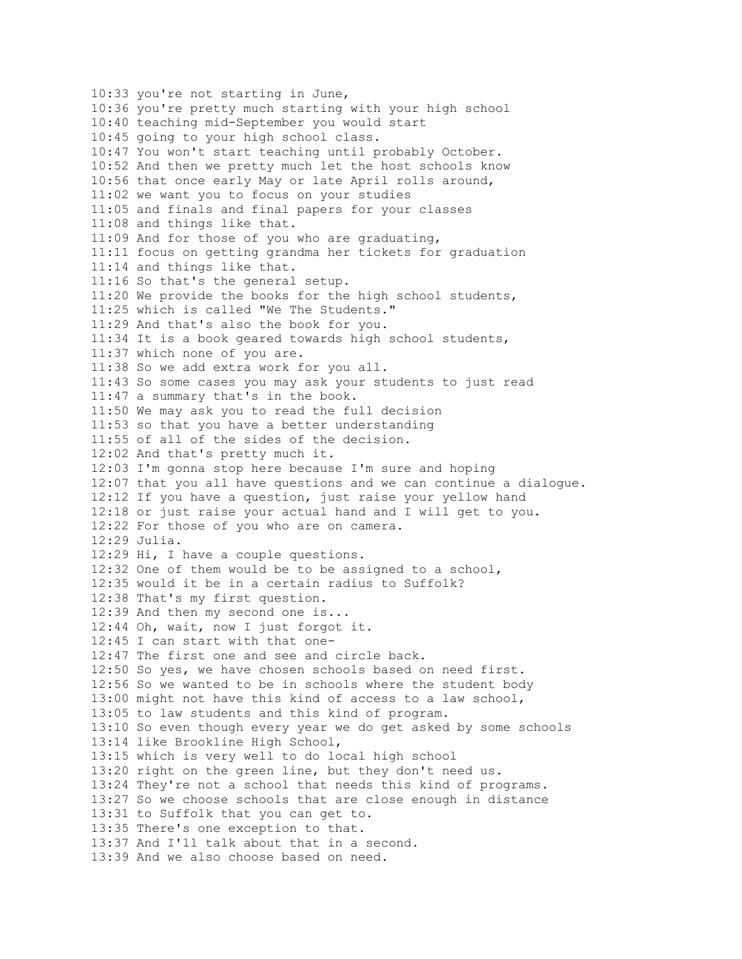10:33 you're not starting in June, 10:36 you're pretty much starting with your high school 10:40 teaching mid-September you would start 10:45 going to your high school class. 10:47 You won't start teaching until probably October. 10:52 And then we pretty much let the host schools know 10:56 that once early May or late April rolls around, 11:02 we want you to focus on your studies 11:05 and finals and final papers for your classes 11:08 and things like that. 11:09 And for those of you who are graduating, 11:11 focus on getting grandma her tickets for graduation 11:14 and things like that. 11:16 So that's the general setup. 11:20 We provide the books for the high school students, 11:25 which is called "We The Students." 11:29 And that's also the book for you. 11:34 It is a book geared towards high school students, 11:37 which none of you are. 11:38 So we add extra work for you all. 11:43 So some cases you may ask your students to just read 11:47 a summary that's in the book. 11:50 We may ask you to read the full decision 11:53 so that you have a better understanding 11:55 of all of the sides of the decision. 12:02 And that's pretty much it. 12:03 I'm gonna stop here because I'm sure and hoping 12:07 that you all have questions and we can continue a dialogue. 12:12 If you have a question, just raise your yellow hand 12:18 or just raise your actual hand and I will get to you. 12:22 For those of you who are on camera. 12:29 Julia. 12:29 Hi, I have a couple questions. 12:32 One of them would be to be assigned to a school, 12:35 would it be in a certain radius to Suffolk? 12:38 That's my first question. 12:39 And then my second one is... 12:44 Oh, wait, now I just forgot it. 12:45 I can start with that one-12:47 The first one and see and circle back. 12:50 So yes, we have chosen schools based on need first. 12:56 So we wanted to be in schools where the student body 13:00 might not have this kind of access to a law school, 13:05 to law students and this kind of program. 13:10 So even though every year we do get asked by some schools 13:14 like Brookline High School, 13:15 which is very well to do local high school 13:20 right on the green line, but they don't need us. 13:24 They're not a school that needs this kind of programs. 13:27 So we choose schools that are close enough in distance 13:31 to Suffolk that you can get to. 13:35 There's one exception to that. 13:37 And I'll talk about that in a second. 13:39 And we also choose based on need.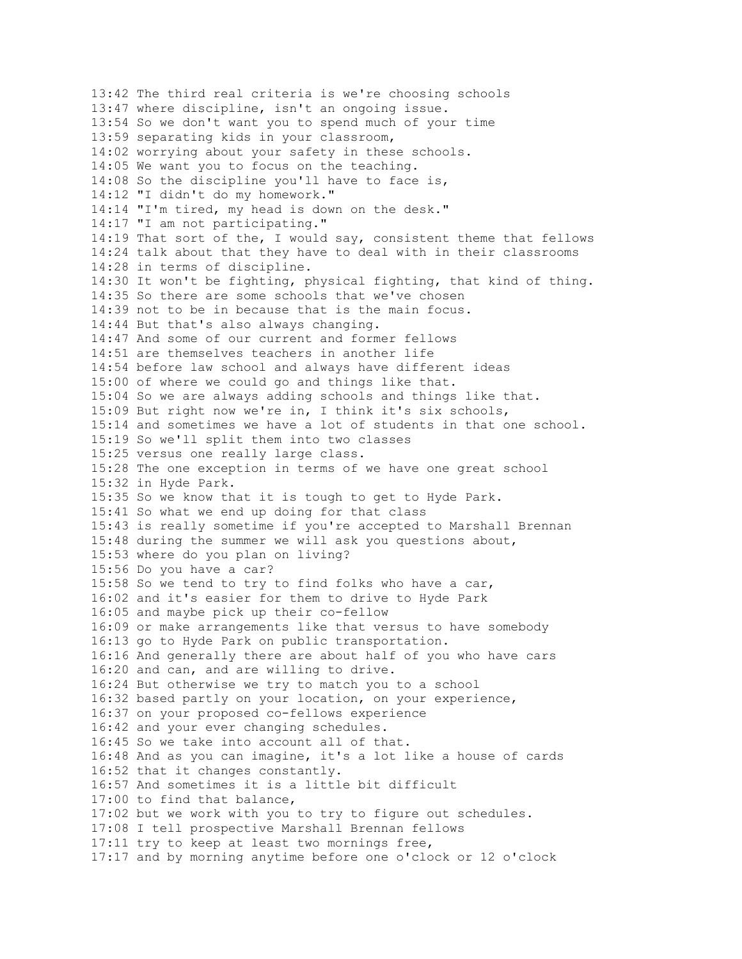13:42 The third real criteria is we're choosing schools 13:47 where discipline, isn't an ongoing issue. 13:54 So we don't want you to spend much of your time 13:59 separating kids in your classroom, 14:02 worrying about your safety in these schools. 14:05 We want you to focus on the teaching. 14:08 So the discipline you'll have to face is, 14:12 "I didn't do my homework." 14:14 "I'm tired, my head is down on the desk." 14:17 "I am not participating." 14:19 That sort of the, I would say, consistent theme that fellows 14:24 talk about that they have to deal with in their classrooms 14:28 in terms of discipline. 14:30 It won't be fighting, physical fighting, that kind of thing. 14:35 So there are some schools that we've chosen 14:39 not to be in because that is the main focus. 14:44 But that's also always changing. 14:47 And some of our current and former fellows 14:51 are themselves teachers in another life 14:54 before law school and always have different ideas 15:00 of where we could go and things like that. 15:04 So we are always adding schools and things like that. 15:09 But right now we're in, I think it's six schools, 15:14 and sometimes we have a lot of students in that one school. 15:19 So we'll split them into two classes 15:25 versus one really large class. 15:28 The one exception in terms of we have one great school 15:32 in Hyde Park. 15:35 So we know that it is tough to get to Hyde Park. 15:41 So what we end up doing for that class 15:43 is really sometime if you're accepted to Marshall Brennan 15:48 during the summer we will ask you questions about, 15:53 where do you plan on living? 15:56 Do you have a car? 15:58 So we tend to try to find folks who have a car, 16:02 and it's easier for them to drive to Hyde Park 16:05 and maybe pick up their co-fellow 16:09 or make arrangements like that versus to have somebody 16:13 go to Hyde Park on public transportation. 16:16 And generally there are about half of you who have cars 16:20 and can, and are willing to drive. 16:24 But otherwise we try to match you to a school 16:32 based partly on your location, on your experience, 16:37 on your proposed co-fellows experience 16:42 and your ever changing schedules. 16:45 So we take into account all of that. 16:48 And as you can imagine, it's a lot like a house of cards 16:52 that it changes constantly. 16:57 And sometimes it is a little bit difficult 17:00 to find that balance, 17:02 but we work with you to try to figure out schedules. 17:08 I tell prospective Marshall Brennan fellows 17:11 try to keep at least two mornings free, 17:17 and by morning anytime before one o'clock or 12 o'clock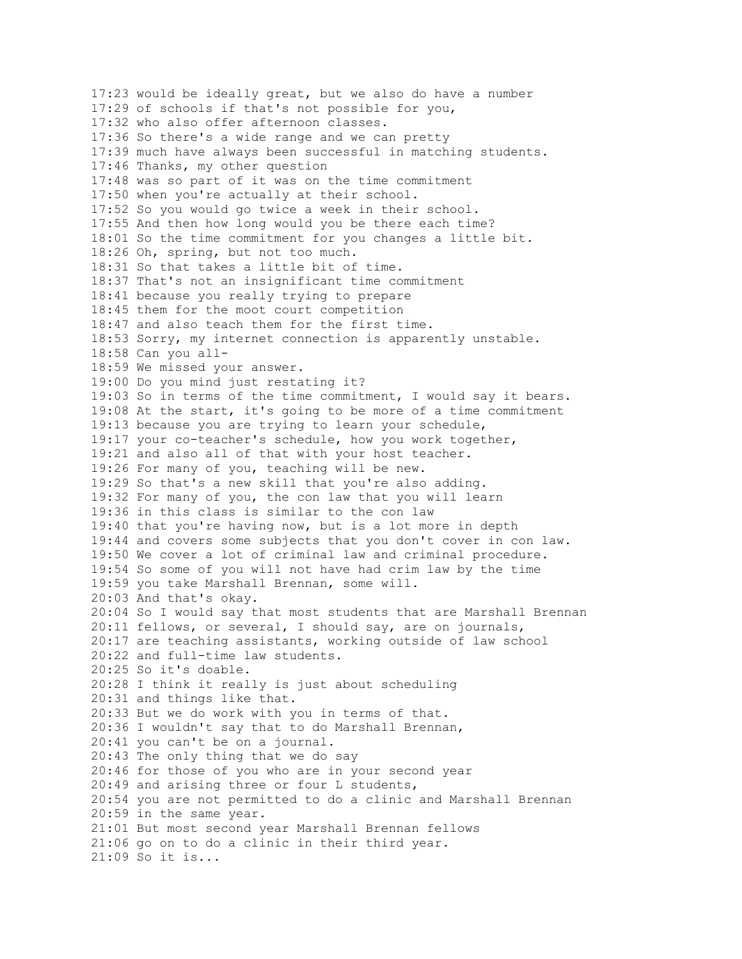17:23 would be ideally great, but we also do have a number 17:29 of schools if that's not possible for you, 17:32 who also offer afternoon classes. 17:36 So there's a wide range and we can pretty 17:39 much have always been successful in matching students. 17:46 Thanks, my other question 17:48 was so part of it was on the time commitment 17:50 when you're actually at their school. 17:52 So you would go twice a week in their school. 17:55 And then how long would you be there each time? 18:01 So the time commitment for you changes a little bit. 18:26 Oh, spring, but not too much. 18:31 So that takes a little bit of time. 18:37 That's not an insignificant time commitment 18:41 because you really trying to prepare 18:45 them for the moot court competition 18:47 and also teach them for the first time. 18:53 Sorry, my internet connection is apparently unstable. 18:58 Can you all-18:59 We missed your answer. 19:00 Do you mind just restating it? 19:03 So in terms of the time commitment, I would say it bears. 19:08 At the start, it's going to be more of a time commitment 19:13 because you are trying to learn your schedule, 19:17 your co-teacher's schedule, how you work together, 19:21 and also all of that with your host teacher. 19:26 For many of you, teaching will be new. 19:29 So that's a new skill that you're also adding. 19:32 For many of you, the con law that you will learn 19:36 in this class is similar to the con law 19:40 that you're having now, but is a lot more in depth 19:44 and covers some subjects that you don't cover in con law. 19:50 We cover a lot of criminal law and criminal procedure. 19:54 So some of you will not have had crim law by the time 19:59 you take Marshall Brennan, some will. 20:03 And that's okay. 20:04 So I would say that most students that are Marshall Brennan 20:11 fellows, or several, I should say, are on journals, 20:17 are teaching assistants, working outside of law school 20:22 and full-time law students. 20:25 So it's doable. 20:28 I think it really is just about scheduling 20:31 and things like that. 20:33 But we do work with you in terms of that. 20:36 I wouldn't say that to do Marshall Brennan, 20:41 you can't be on a journal. 20:43 The only thing that we do say 20:46 for those of you who are in your second year 20:49 and arising three or four L students, 20:54 you are not permitted to do a clinic and Marshall Brennan 20:59 in the same year. 21:01 But most second year Marshall Brennan fellows 21:06 go on to do a clinic in their third year. 21:09 So it is...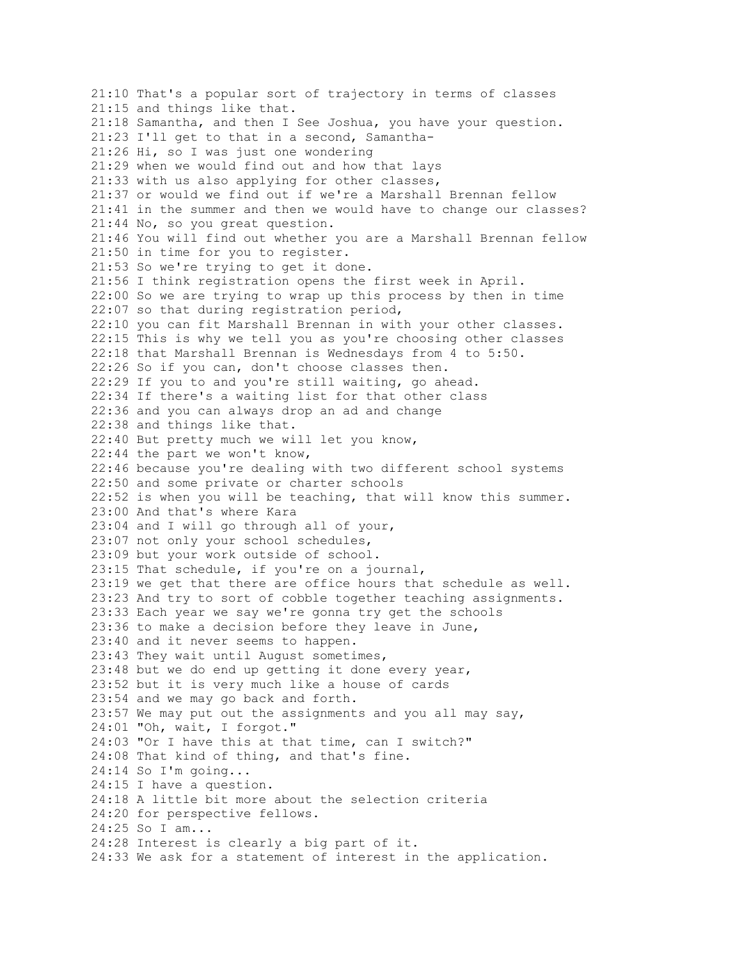21:10 That's a popular sort of trajectory in terms of classes 21:15 and things like that. 21:18 Samantha, and then I See Joshua, you have your question. 21:23 I'll get to that in a second, Samantha-21:26 Hi, so I was just one wondering 21:29 when we would find out and how that lays 21:33 with us also applying for other classes, 21:37 or would we find out if we're a Marshall Brennan fellow 21:41 in the summer and then we would have to change our classes? 21:44 No, so you great question. 21:46 You will find out whether you are a Marshall Brennan fellow 21:50 in time for you to register. 21:53 So we're trying to get it done. 21:56 I think registration opens the first week in April. 22:00 So we are trying to wrap up this process by then in time 22:07 so that during registration period, 22:10 you can fit Marshall Brennan in with your other classes. 22:15 This is why we tell you as you're choosing other classes 22:18 that Marshall Brennan is Wednesdays from 4 to 5:50. 22:26 So if you can, don't choose classes then. 22:29 If you to and you're still waiting, go ahead. 22:34 If there's a waiting list for that other class 22:36 and you can always drop an ad and change 22:38 and things like that. 22:40 But pretty much we will let you know, 22:44 the part we won't know, 22:46 because you're dealing with two different school systems 22:50 and some private or charter schools 22:52 is when you will be teaching, that will know this summer. 23:00 And that's where Kara 23:04 and I will go through all of your, 23:07 not only your school schedules, 23:09 but your work outside of school. 23:15 That schedule, if you're on a journal, 23:19 we get that there are office hours that schedule as well. 23:23 And try to sort of cobble together teaching assignments. 23:33 Each year we say we're gonna try get the schools 23:36 to make a decision before they leave in June, 23:40 and it never seems to happen. 23:43 They wait until August sometimes, 23:48 but we do end up getting it done every year, 23:52 but it is very much like a house of cards 23:54 and we may go back and forth. 23:57 We may put out the assignments and you all may say, 24:01 "Oh, wait, I forgot." 24:03 "Or I have this at that time, can I switch?" 24:08 That kind of thing, and that's fine. 24:14 So I'm going... 24:15 I have a question. 24:18 A little bit more about the selection criteria 24:20 for perspective fellows. 24:25 So I am... 24:28 Interest is clearly a big part of it. 24:33 We ask for a statement of interest in the application.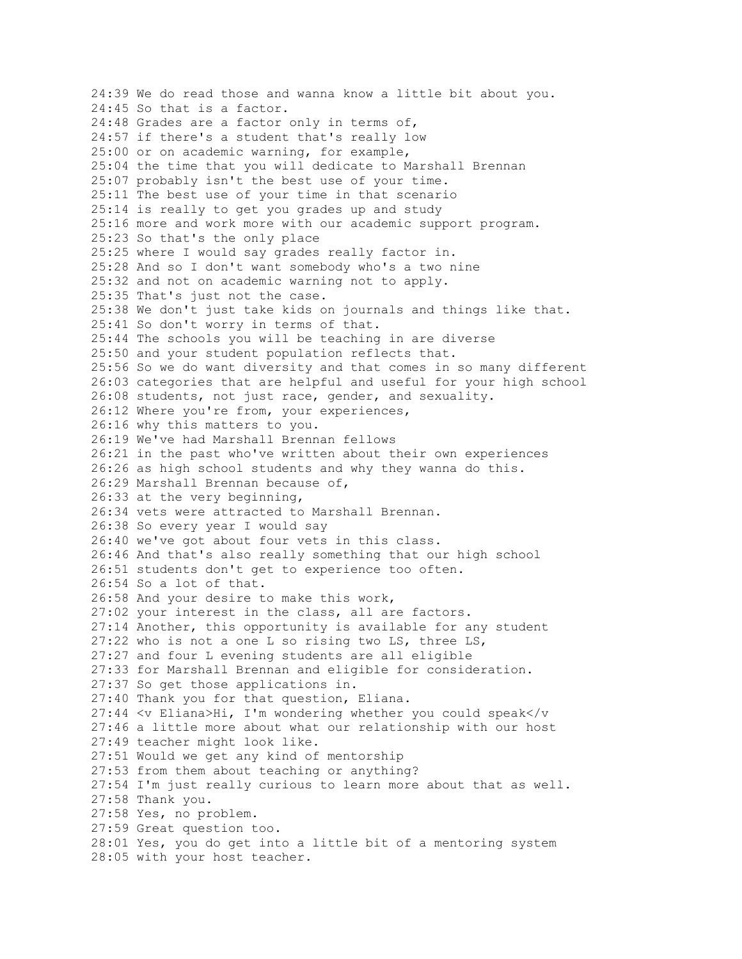24:39 We do read those and wanna know a little bit about you. 24:45 So that is a factor. 24:48 Grades are a factor only in terms of, 24:57 if there's a student that's really low 25:00 or on academic warning, for example, 25:04 the time that you will dedicate to Marshall Brennan 25:07 probably isn't the best use of your time. 25:11 The best use of your time in that scenario 25:14 is really to get you grades up and study 25:16 more and work more with our academic support program. 25:23 So that's the only place 25:25 where I would say grades really factor in. 25:28 And so I don't want somebody who's a two nine 25:32 and not on academic warning not to apply. 25:35 That's just not the case. 25:38 We don't just take kids on journals and things like that. 25:41 So don't worry in terms of that. 25:44 The schools you will be teaching in are diverse 25:50 and your student population reflects that. 25:56 So we do want diversity and that comes in so many different 26:03 categories that are helpful and useful for your high school 26:08 students, not just race, gender, and sexuality. 26:12 Where you're from, your experiences, 26:16 why this matters to you. 26:19 We've had Marshall Brennan fellows 26:21 in the past who've written about their own experiences 26:26 as high school students and why they wanna do this. 26:29 Marshall Brennan because of, 26:33 at the very beginning, 26:34 vets were attracted to Marshall Brennan. 26:38 So every year I would say 26:40 we've got about four vets in this class. 26:46 And that's also really something that our high school 26:51 students don't get to experience too often. 26:54 So a lot of that. 26:58 And your desire to make this work, 27:02 your interest in the class, all are factors. 27:14 Another, this opportunity is available for any student 27:22 who is not a one L so rising two LS, three LS, 27:27 and four L evening students are all eligible 27:33 for Marshall Brennan and eligible for consideration. 27:37 So get those applications in. 27:40 Thank you for that question, Eliana. 27:44 <v Eliana>Hi, I'm wondering whether you could speak</v 27:46 a little more about what our relationship with our host 27:49 teacher might look like. 27:51 Would we get any kind of mentorship 27:53 from them about teaching or anything? 27:54 I'm just really curious to learn more about that as well. 27:58 Thank you. 27:58 Yes, no problem. 27:59 Great question too. 28:01 Yes, you do get into a little bit of a mentoring system 28:05 with your host teacher.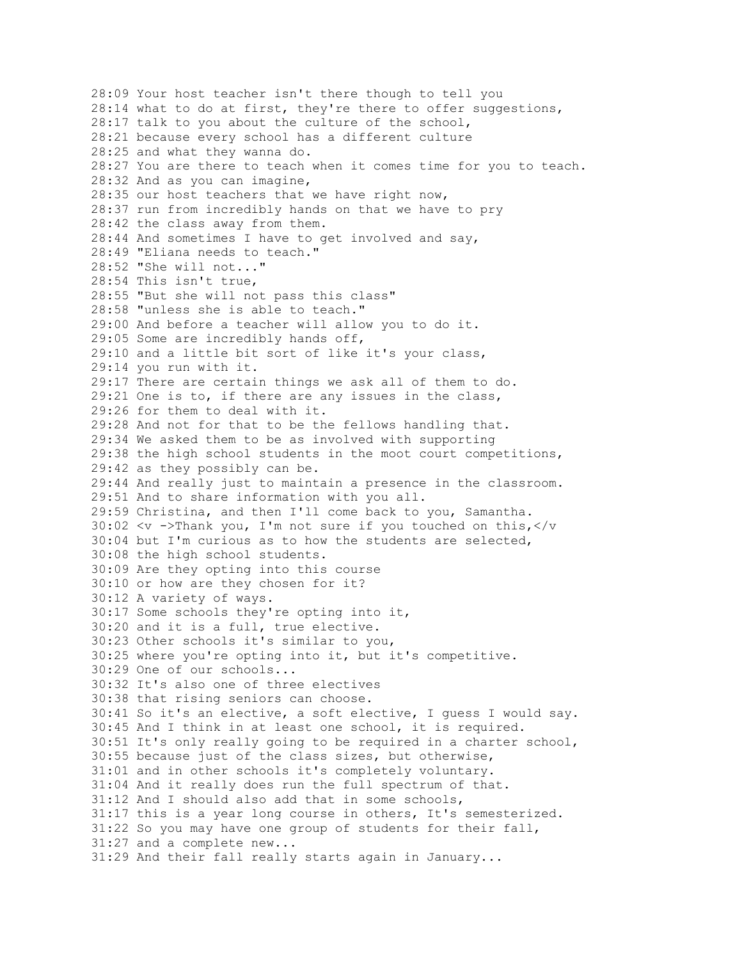28:09 Your host teacher isn't there though to tell you 28:14 what to do at first, they're there to offer suggestions, 28:17 talk to you about the culture of the school, 28:21 because every school has a different culture 28:25 and what they wanna do. 28:27 You are there to teach when it comes time for you to teach. 28:32 And as you can imagine, 28:35 our host teachers that we have right now, 28:37 run from incredibly hands on that we have to pry 28:42 the class away from them. 28:44 And sometimes I have to get involved and say, 28:49 "Eliana needs to teach." 28:52 "She will not..." 28:54 This isn't true, 28:55 "But she will not pass this class" 28:58 "unless she is able to teach." 29:00 And before a teacher will allow you to do it. 29:05 Some are incredibly hands off, 29:10 and a little bit sort of like it's your class, 29:14 you run with it. 29:17 There are certain things we ask all of them to do. 29:21 One is to, if there are any issues in the class, 29:26 for them to deal with it. 29:28 And not for that to be the fellows handling that. 29:34 We asked them to be as involved with supporting 29:38 the high school students in the moot court competitions, 29:42 as they possibly can be. 29:44 And really just to maintain a presence in the classroom. 29:51 And to share information with you all. 29:59 Christina, and then I'll come back to you, Samantha. 30:02  $\langle v \rangle$  ->Thank you, I'm not sure if you touched on this, $\langle v \rangle$ 30:04 but I'm curious as to how the students are selected, 30:08 the high school students. 30:09 Are they opting into this course 30:10 or how are they chosen for it? 30:12 A variety of ways. 30:17 Some schools they're opting into it, 30:20 and it is a full, true elective. 30:23 Other schools it's similar to you, 30:25 where you're opting into it, but it's competitive. 30:29 One of our schools... 30:32 It's also one of three electives 30:38 that rising seniors can choose. 30:41 So it's an elective, a soft elective, I guess I would say. 30:45 And I think in at least one school, it is required. 30:51 It's only really going to be required in a charter school, 30:55 because just of the class sizes, but otherwise, 31:01 and in other schools it's completely voluntary. 31:04 And it really does run the full spectrum of that. 31:12 And I should also add that in some schools, 31:17 this is a year long course in others, It's semesterized. 31:22 So you may have one group of students for their fall, 31:27 and a complete new... 31:29 And their fall really starts again in January...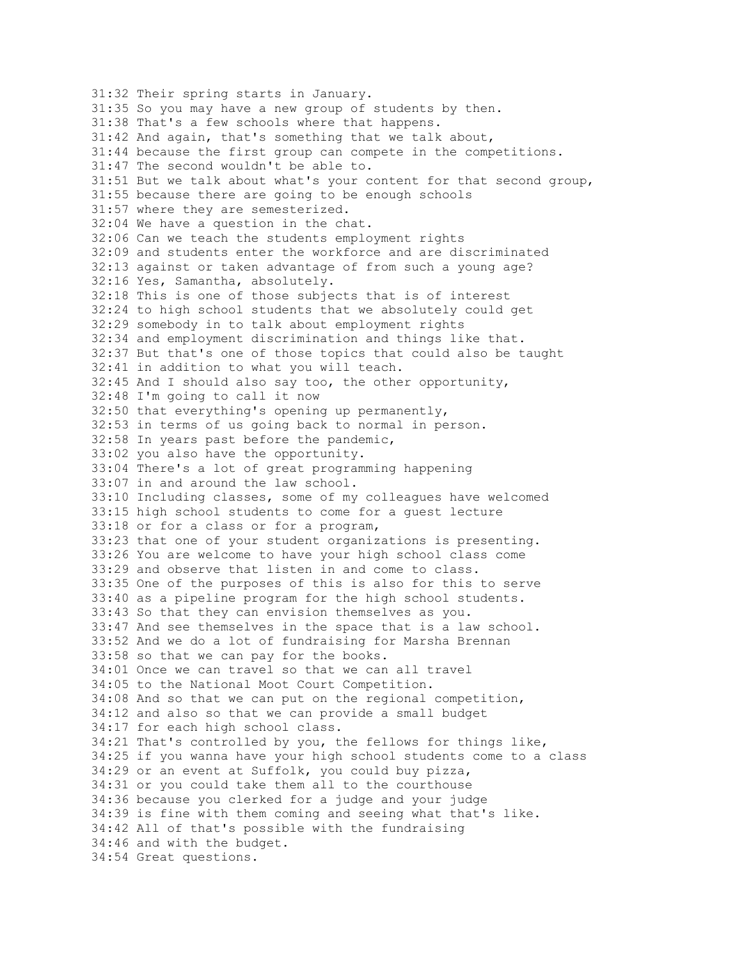31:32 Their spring starts in January. 31:35 So you may have a new group of students by then. 31:38 That's a few schools where that happens. 31:42 And again, that's something that we talk about, 31:44 because the first group can compete in the competitions. 31:47 The second wouldn't be able to. 31:51 But we talk about what's your content for that second group, 31:55 because there are going to be enough schools 31:57 where they are semesterized. 32:04 We have a question in the chat. 32:06 Can we teach the students employment rights 32:09 and students enter the workforce and are discriminated 32:13 against or taken advantage of from such a young age? 32:16 Yes, Samantha, absolutely. 32:18 This is one of those subjects that is of interest 32:24 to high school students that we absolutely could get 32:29 somebody in to talk about employment rights 32:34 and employment discrimination and things like that. 32:37 But that's one of those topics that could also be taught 32:41 in addition to what you will teach. 32:45 And I should also say too, the other opportunity, 32:48 I'm going to call it now 32:50 that everything's opening up permanently, 32:53 in terms of us going back to normal in person. 32:58 In years past before the pandemic, 33:02 you also have the opportunity. 33:04 There's a lot of great programming happening 33:07 in and around the law school. 33:10 Including classes, some of my colleagues have welcomed 33:15 high school students to come for a guest lecture 33:18 or for a class or for a program, 33:23 that one of your student organizations is presenting. 33:26 You are welcome to have your high school class come 33:29 and observe that listen in and come to class. 33:35 One of the purposes of this is also for this to serve 33:40 as a pipeline program for the high school students. 33:43 So that they can envision themselves as you. 33:47 And see themselves in the space that is a law school. 33:52 And we do a lot of fundraising for Marsha Brennan 33:58 so that we can pay for the books. 34:01 Once we can travel so that we can all travel 34:05 to the National Moot Court Competition. 34:08 And so that we can put on the regional competition, 34:12 and also so that we can provide a small budget 34:17 for each high school class. 34:21 That's controlled by you, the fellows for things like, 34:25 if you wanna have your high school students come to a class 34:29 or an event at Suffolk, you could buy pizza, 34:31 or you could take them all to the courthouse 34:36 because you clerked for a judge and your judge 34:39 is fine with them coming and seeing what that's like. 34:42 All of that's possible with the fundraising 34:46 and with the budget. 34:54 Great questions.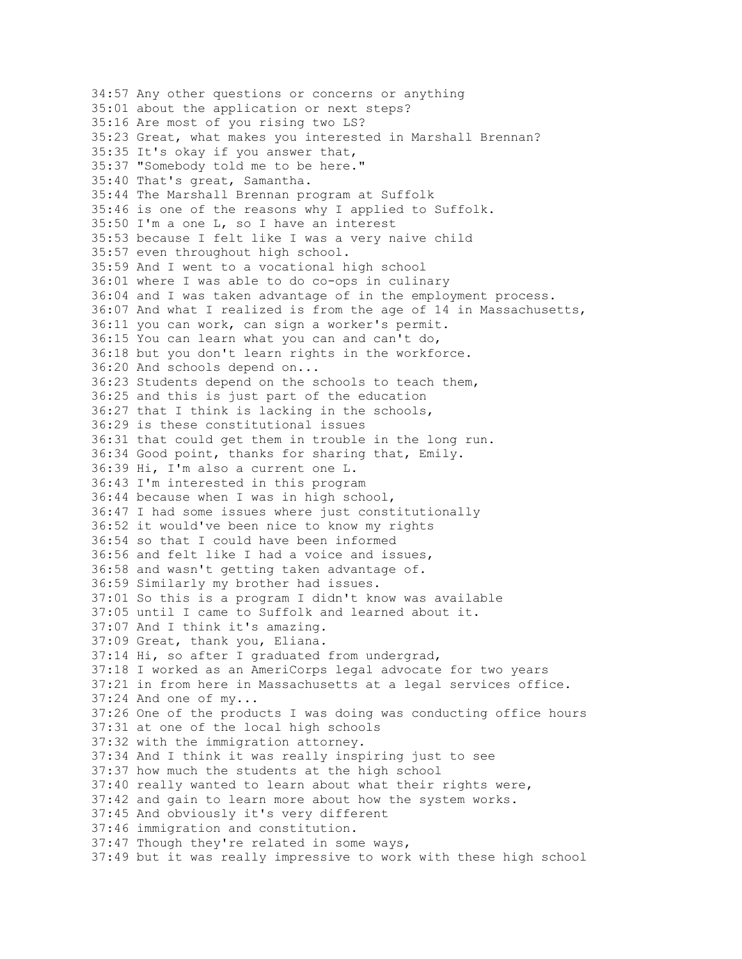34:57 Any other questions or concerns or anything 35:01 about the application or next steps? 35:16 Are most of you rising two LS? 35:23 Great, what makes you interested in Marshall Brennan? 35:35 It's okay if you answer that, 35:37 "Somebody told me to be here." 35:40 That's great, Samantha. 35:44 The Marshall Brennan program at Suffolk 35:46 is one of the reasons why I applied to Suffolk. 35:50 I'm a one L, so I have an interest 35:53 because I felt like I was a very naive child 35:57 even throughout high school. 35:59 And I went to a vocational high school 36:01 where I was able to do co-ops in culinary 36:04 and I was taken advantage of in the employment process. 36:07 And what I realized is from the age of 14 in Massachusetts, 36:11 you can work, can sign a worker's permit. 36:15 You can learn what you can and can't do, 36:18 but you don't learn rights in the workforce. 36:20 And schools depend on... 36:23 Students depend on the schools to teach them, 36:25 and this is just part of the education 36:27 that I think is lacking in the schools, 36:29 is these constitutional issues 36:31 that could get them in trouble in the long run. 36:34 Good point, thanks for sharing that, Emily. 36:39 Hi, I'm also a current one L. 36:43 I'm interested in this program 36:44 because when I was in high school, 36:47 I had some issues where just constitutionally 36:52 it would've been nice to know my rights 36:54 so that I could have been informed 36:56 and felt like I had a voice and issues, 36:58 and wasn't getting taken advantage of. 36:59 Similarly my brother had issues. 37:01 So this is a program I didn't know was available 37:05 until I came to Suffolk and learned about it. 37:07 And I think it's amazing. 37:09 Great, thank you, Eliana. 37:14 Hi, so after I graduated from undergrad, 37:18 I worked as an AmeriCorps legal advocate for two years 37:21 in from here in Massachusetts at a legal services office. 37:24 And one of my... 37:26 One of the products I was doing was conducting office hours 37:31 at one of the local high schools 37:32 with the immigration attorney. 37:34 And I think it was really inspiring just to see 37:37 how much the students at the high school 37:40 really wanted to learn about what their rights were, 37:42 and gain to learn more about how the system works. 37:45 And obviously it's very different 37:46 immigration and constitution. 37:47 Though they're related in some ways, 37:49 but it was really impressive to work with these high school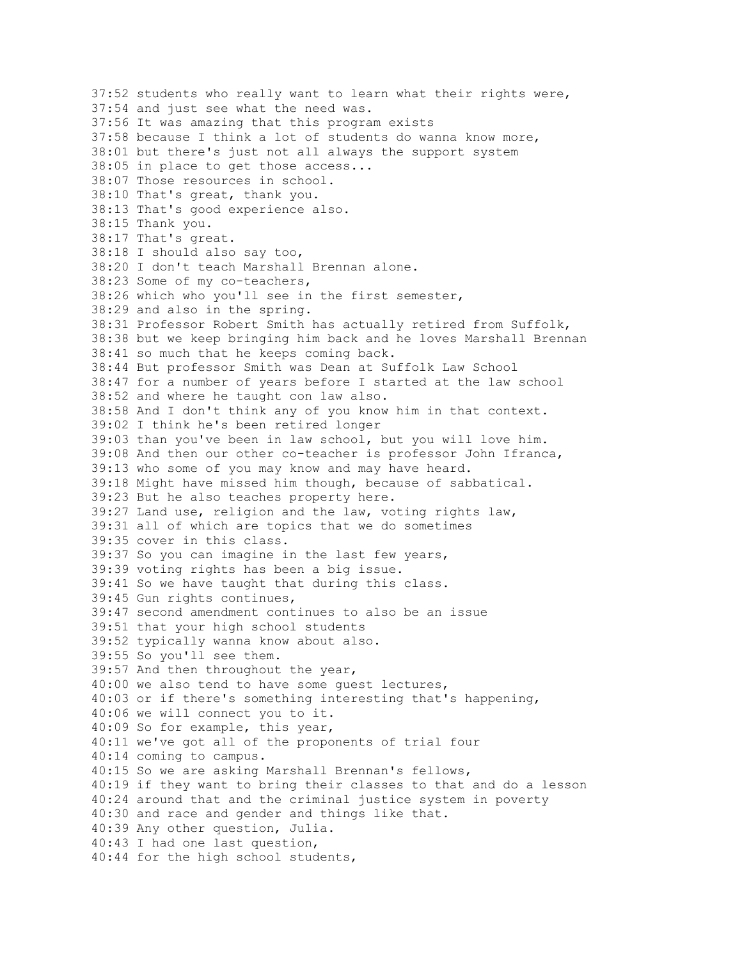37:52 students who really want to learn what their rights were, 37:54 and just see what the need was. 37:56 It was amazing that this program exists 37:58 because I think a lot of students do wanna know more, 38:01 but there's just not all always the support system 38:05 in place to get those access... 38:07 Those resources in school. 38:10 That's great, thank you. 38:13 That's good experience also. 38:15 Thank you. 38:17 That's great. 38:18 I should also say too, 38:20 I don't teach Marshall Brennan alone. 38:23 Some of my co-teachers, 38:26 which who you'll see in the first semester, 38:29 and also in the spring. 38:31 Professor Robert Smith has actually retired from Suffolk, 38:38 but we keep bringing him back and he loves Marshall Brennan 38:41 so much that he keeps coming back. 38:44 But professor Smith was Dean at Suffolk Law School 38:47 for a number of years before I started at the law school 38:52 and where he taught con law also. 38:58 And I don't think any of you know him in that context. 39:02 I think he's been retired longer 39:03 than you've been in law school, but you will love him. 39:08 And then our other co-teacher is professor John Ifranca, 39:13 who some of you may know and may have heard. 39:18 Might have missed him though, because of sabbatical. 39:23 But he also teaches property here. 39:27 Land use, religion and the law, voting rights law, 39:31 all of which are topics that we do sometimes 39:35 cover in this class. 39:37 So you can imagine in the last few years, 39:39 voting rights has been a big issue. 39:41 So we have taught that during this class. 39:45 Gun rights continues, 39:47 second amendment continues to also be an issue 39:51 that your high school students 39:52 typically wanna know about also. 39:55 So you'll see them. 39:57 And then throughout the year, 40:00 we also tend to have some guest lectures, 40:03 or if there's something interesting that's happening, 40:06 we will connect you to it. 40:09 So for example, this year, 40:11 we've got all of the proponents of trial four 40:14 coming to campus. 40:15 So we are asking Marshall Brennan's fellows, 40:19 if they want to bring their classes to that and do a lesson 40:24 around that and the criminal justice system in poverty 40:30 and race and gender and things like that. 40:39 Any other question, Julia. 40:43 I had one last question, 40:44 for the high school students,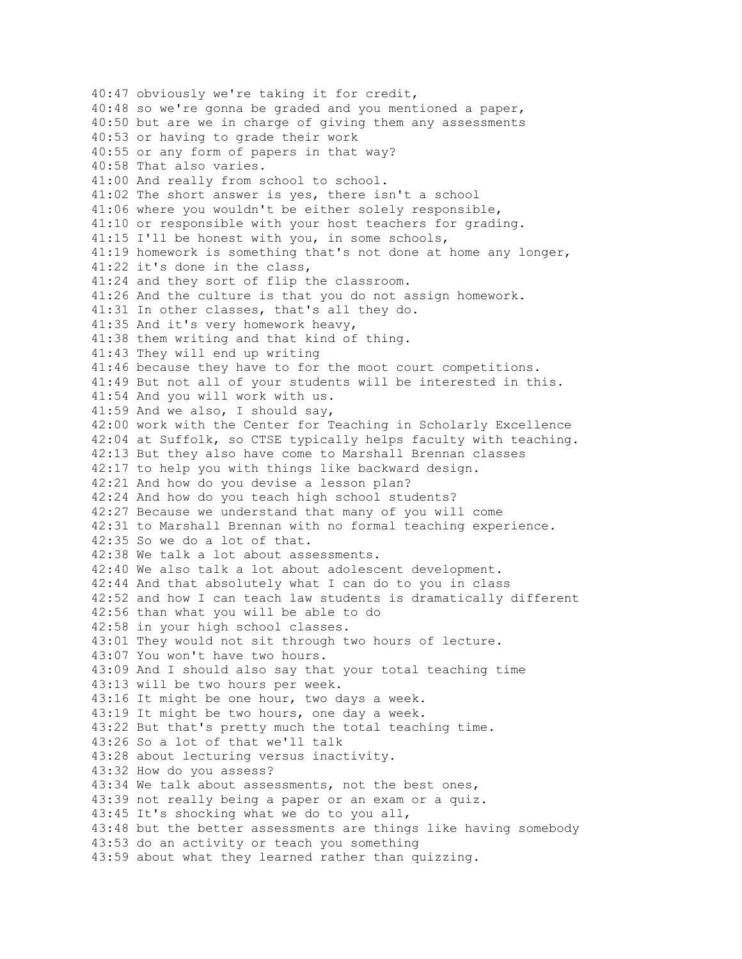40:47 obviously we're taking it for credit, 40:48 so we're gonna be graded and you mentioned a paper, 40:50 but are we in charge of giving them any assessments 40:53 or having to grade their work 40:55 or any form of papers in that way? 40:58 That also varies. 41:00 And really from school to school. 41:02 The short answer is yes, there isn't a school 41:06 where you wouldn't be either solely responsible, 41:10 or responsible with your host teachers for grading. 41:15 I'll be honest with you, in some schools, 41:19 homework is something that's not done at home any longer, 41:22 it's done in the class, 41:24 and they sort of flip the classroom. 41:26 And the culture is that you do not assign homework. 41:31 In other classes, that's all they do. 41:35 And it's very homework heavy, 41:38 them writing and that kind of thing. 41:43 They will end up writing 41:46 because they have to for the moot court competitions. 41:49 But not all of your students will be interested in this. 41:54 And you will work with us. 41:59 And we also, I should say, 42:00 work with the Center for Teaching in Scholarly Excellence 42:04 at Suffolk, so CTSE typically helps faculty with teaching. 42:13 But they also have come to Marshall Brennan classes 42:17 to help you with things like backward design. 42:21 And how do you devise a lesson plan? 42:24 And how do you teach high school students? 42:27 Because we understand that many of you will come 42:31 to Marshall Brennan with no formal teaching experience. 42:35 So we do a lot of that. 42:38 We talk a lot about assessments. 42:40 We also talk a lot about adolescent development. 42:44 And that absolutely what I can do to you in class 42:52 and how I can teach law students is dramatically different 42:56 than what you will be able to do 42:58 in your high school classes. 43:01 They would not sit through two hours of lecture. 43:07 You won't have two hours. 43:09 And I should also say that your total teaching time 43:13 will be two hours per week. 43:16 It might be one hour, two days a week. 43:19 It might be two hours, one day a week. 43:22 But that's pretty much the total teaching time. 43:26 So a lot of that we'll talk 43:28 about lecturing versus inactivity. 43:32 How do you assess? 43:34 We talk about assessments, not the best ones, 43:39 not really being a paper or an exam or a quiz. 43:45 It's shocking what we do to you all, 43:48 but the better assessments are things like having somebody 43:53 do an activity or teach you something 43:59 about what they learned rather than quizzing.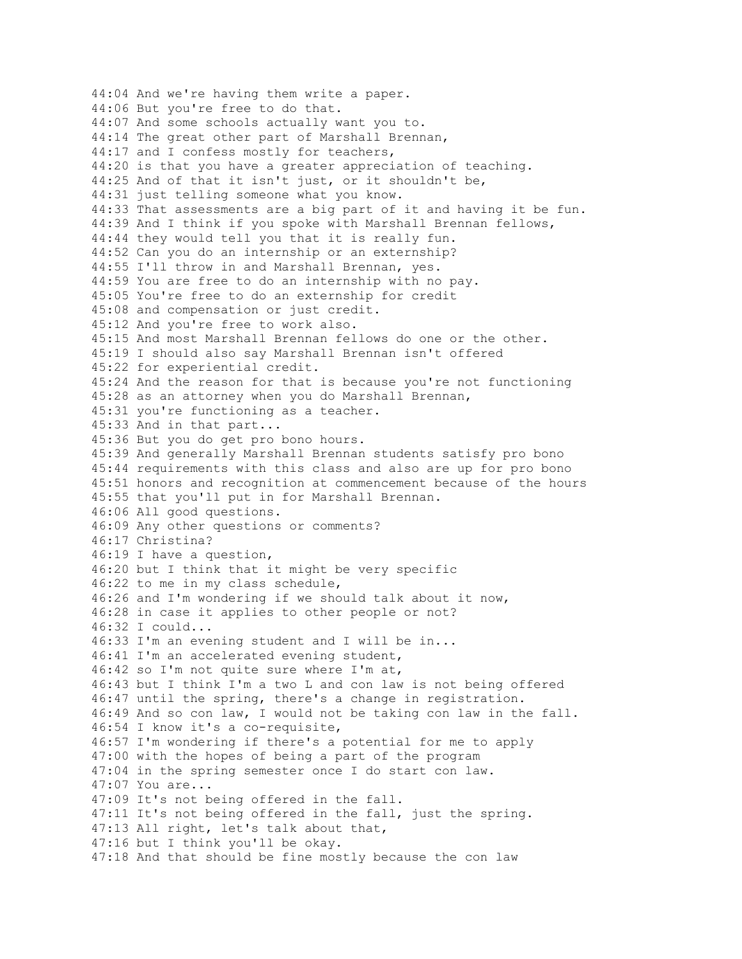44:04 And we're having them write a paper. 44:06 But you're free to do that. 44:07 And some schools actually want you to. 44:14 The great other part of Marshall Brennan, 44:17 and I confess mostly for teachers, 44:20 is that you have a greater appreciation of teaching. 44:25 And of that it isn't just, or it shouldn't be, 44:31 just telling someone what you know. 44:33 That assessments are a big part of it and having it be fun. 44:39 And I think if you spoke with Marshall Brennan fellows, 44:44 they would tell you that it is really fun. 44:52 Can you do an internship or an externship? 44:55 I'll throw in and Marshall Brennan, yes. 44:59 You are free to do an internship with no pay. 45:05 You're free to do an externship for credit 45:08 and compensation or just credit. 45:12 And you're free to work also. 45:15 And most Marshall Brennan fellows do one or the other. 45:19 I should also say Marshall Brennan isn't offered 45:22 for experiential credit. 45:24 And the reason for that is because you're not functioning 45:28 as an attorney when you do Marshall Brennan, 45:31 you're functioning as a teacher. 45:33 And in that part... 45:36 But you do get pro bono hours. 45:39 And generally Marshall Brennan students satisfy pro bono 45:44 requirements with this class and also are up for pro bono 45:51 honors and recognition at commencement because of the hours 45:55 that you'll put in for Marshall Brennan. 46:06 All good questions. 46:09 Any other questions or comments? 46:17 Christina? 46:19 I have a question, 46:20 but I think that it might be very specific 46:22 to me in my class schedule, 46:26 and I'm wondering if we should talk about it now, 46:28 in case it applies to other people or not? 46:32 I could... 46:33 I'm an evening student and I will be in... 46:41 I'm an accelerated evening student, 46:42 so I'm not quite sure where I'm at, 46:43 but I think I'm a two L and con law is not being offered 46:47 until the spring, there's a change in registration. 46:49 And so con law, I would not be taking con law in the fall. 46:54 I know it's a co-requisite, 46:57 I'm wondering if there's a potential for me to apply 47:00 with the hopes of being a part of the program 47:04 in the spring semester once I do start con law. 47:07 You are... 47:09 It's not being offered in the fall. 47:11 It's not being offered in the fall, just the spring. 47:13 All right, let's talk about that, 47:16 but I think you'll be okay. 47:18 And that should be fine mostly because the con law